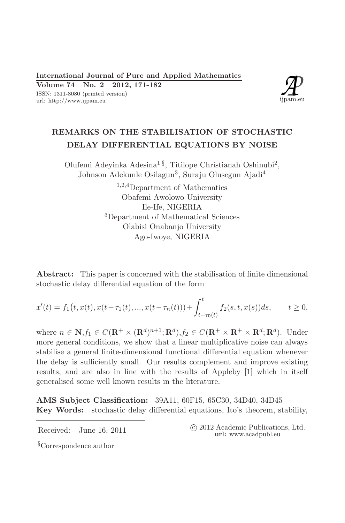ISSN: 1311-8080 (printed version) url: http://www.ijpam.eu



# REMARKS ON THE STABILISATION OF STOCHASTIC DELAY DIFFERENTIAL EQUATIONS BY NOISE

Olufemi Adevinka Adesina<sup>1 §</sup>, Titilope Christianah Oshinubi<sup>2</sup>, Johnson Adekunle Osilagun<sup>3</sup>, Suraju Olusegun Ajadi<sup>4</sup>

> $1,2,4$ Department of Mathematics Obafemi Awolowo University Ile-Ife, NIGERIA <sup>3</sup>Department of Mathematical Sciences Olabisi Onabanjo University Ago-Iwoye, NIGERIA

**Abstract:** This paper is concerned with the stabilisation of finite dimensional stochastic delay differential equation of the form

$$
x'(t) = f_1(t, x(t), x(t - \tau_1(t), ..., x(t - \tau_n(t))) + \int_{t - \tau_0(t)}^t f_2(s, t, x(s))ds, \qquad t \ge 0,
$$

where  $n \in \mathbb{N}, f_1 \in C(\mathbb{R}^+ \times (\mathbb{R}^d)^{n+1}; \mathbb{R}^d), f_2 \in C(\mathbb{R}^+ \times \mathbb{R}^+ \times \mathbb{R}^d; \mathbb{R}^d)$ . Under more general conditions, we show that a linear multiplicative noise can always stabilise a general finite-dimensional functional differential equation whenever the delay is sufficiently small. Our results complement and improve existing results, and are also in line with the results of Appleby [1] which in itself generalised some well known results in the literature.

AMS Subject Classification: 39A11, 60F15, 65C30, 34D40, 34D45 **Key Words:** stochastic delay differential equations, Ito's theorem, stability,

Received: June 16, 2011

(c) 2012 Academic Publications, Ltd. url: www.acadpubl.eu

<sup>§</sup>Correspondence author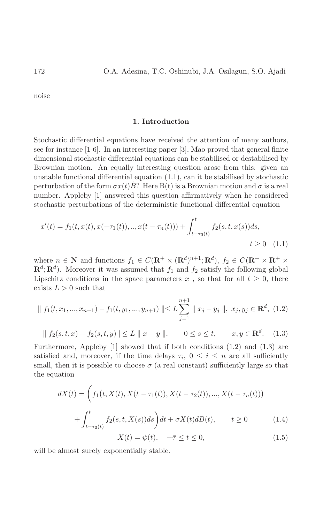noise

## 1. Introduction

Stochastic differential equations have received the attention of many authors, see for instance [1-6]. In an interesting paper [3], Mao proved that general finite dimensional stochastic differential equations can be stabilised or destabilised by Brownian motion. An equally interesting question arose from this: given an unstable functional differential equation  $(1.1)$ , can it be stabilised by stochastic perturbation of the form  $\sigma x(t)B$ ? Here B(t) is a Brownian motion and  $\sigma$  is a real number. Appleby [1] answered this question affirmatively when he considered stochastic perturbations of the deterministic functional differential equation

$$
x'(t) = f_1(t, x(t), x(-\tau_1(t)), ..., x(t - \tau_n(t))) + \int_{t-\tau_0(t)}^t f_2(s, t, x(s))ds,
$$
  

$$
t \ge 0 \quad (1.1)
$$

where  $n \in \mathbb{N}$  and functions  $f_1 \in C(\mathbf{R}^+ \times (\mathbf{R}^d)^{n+1}; \mathbf{R}^d)$ ,  $f_2 \in C(\mathbf{R}^+ \times \mathbf{R}^+ \times$  $\mathbf{R}^d$ ;  $\mathbf{R}^d$ ). Moreover it was assumed that  $f_1$  and  $f_2$  satisfy the following global Lipschitz conditions in the space parameters x, so that for all  $t \geq 0$ , there exists  $L > 0$  such that

$$
\| f_1(t, x_1, ..., x_{n+1}) - f_1(t, y_1, ..., y_{n+1}) \| \le L \sum_{j=1}^{n+1} \| x_j - y_j \|, \ x_j, y_j \in \mathbf{R}^d, \ (1.2)
$$

$$
|| f_2(s,t,x) - f_2(s,t,y) || \le L || x - y ||,
$$
  $0 \le s \le t,$   $x, y \in \mathbb{R}^d.$  (1.3)

Furthermore, Appleby  $[1]$  showed that if both conditions  $(1.2)$  and  $(1.3)$  are satisfied and, moreover, if the time delays  $\tau_i$ ,  $0 \leq i \leq n$  are all sufficiently small, then it is possible to choose  $\sigma$  (a real constant) sufficiently large so that the equation

$$
dX(t) = \left( f_1(t, X(t), X(t - \tau_1(t)), X(t - \tau_2(t)), ..., X(t - \tau_n(t)) \right) + \int_{t - \tau_0(t)}^t f_2(s, t, X(s)) ds \right) dt + \sigma X(t) dB(t), \qquad t \ge 0
$$
 (1.4)

$$
X(t) = \psi(t), \quad -\bar{\tau} \le t \le 0,
$$
\n<sup>(1.5)</sup>

will be almost surely exponentially stable.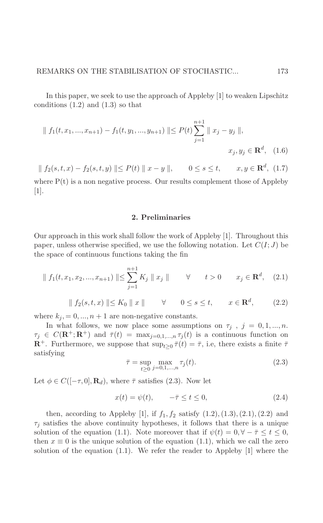In this paper, we seek to use the approach of Appleby [1] to weaken Lipschitz conditions  $(1.2)$  and  $(1.3)$  so that

$$
\| f_1(t, x_1, ..., x_{n+1}) - f_1(t, y_1, ..., y_{n+1}) \| \le P(t) \sum_{j=1}^{n+1} \| x_j - y_j \|,
$$
  

$$
x_j, y_j \in \mathbf{R}^d, (1.6)
$$

 $|| f_2(s,t,x) - f_2(s,t,y) || \leq P(t) || x - y ||$ ,  $0 \leq s \leq t$ ,  $x, y \in \mathbb{R}^d$ , (1.7)

where  $P(t)$  is a non negative process. Our results complement those of Appleby  $\vert 1 \vert$ .

### 2. Preliminaries

Our approach in this work shall follow the work of Appleby [1]. Throughout this paper, unless otherwise specified, we use the following notation. Let  $C(I;J)$  be the space of continuous functions taking the fin

$$
\| f_1(t, x_1, x_2, ..., x_{n+1}) \| \le \sum_{j=1}^{n+1} K_j \| x_j \| \qquad \forall \qquad t > 0 \qquad x_j \in \mathbf{R}^d, \quad (2.1)
$$

$$
|| f_2(s, t, x) || \le K_0 || x ||
$$
  $\forall$   $0 \le s \le t$ ,  $x \in \mathbb{R}^d$ , (2.2)

where  $k_j = 0, ..., n + 1$  are non-negative constants.

In what follows, we now place some assumptions on  $\tau_j$ ,  $j = 0, 1, ..., n$ .  $\tau_j \in C(\mathbf{R}^+;\mathbf{R}^+)$  and  $\bar{\tau}(t) = \max_{j=0,1,...,n} \tau_j(t)$  is a continuous function on  $\mathbb{R}^+$ . Furthermore, we suppose that  $\sup_{t>0} \overline{\tau}(t) = \overline{\tau}$ , i.e, there exists a finite  $\overline{\tau}$ satisfying

$$
\bar{\tau} = \sup_{t \ge 0} \max_{j=0,1,\dots,n} \tau_j(t). \tag{2.3}
$$

Let  $\phi \in C([-\tau,0], \mathbf{R}_d)$ , where  $\bar{\tau}$  satisfies (2.3). Now let

$$
x(t) = \psi(t), \qquad -\bar{\tau} \le t \le 0,\tag{2.4}
$$

then, according to Appleby [1], if  $f_1, f_2$  satisfy  $(1.2), (1.3), (2.1), (2.2)$  and  $\tau_j$  satisfies the above continuity hypotheses, it follows that there is a unique solution of the equation (1.1). Note moreover that if  $\psi(t) = 0, \forall -\overline{\tau} \leq t \leq 0$ , then  $x \equiv 0$  is the unique solution of the equation (1.1), which we call the zero solution of the equation  $(1.1)$ . We refer the reader to Appleby [1] where the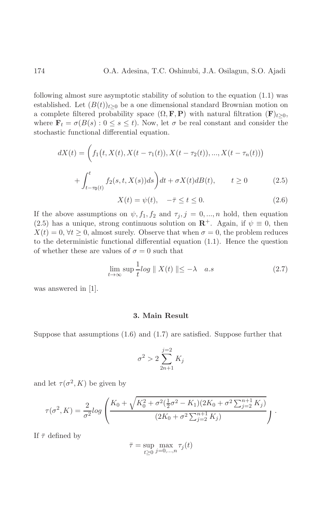following almost sure asymptotic stability of solution to the equation  $(1.1)$  was established. Let  $(B(t))_{t>0}$  be a one dimensional standard Brownian motion on a complete filtered probability space  $(\Omega, \mathbf{F}, \mathbf{P})$  with natural filtration  $(\mathbf{F})_{t>0}$ , where  $\mathbf{F}_t = \sigma(B(s) : 0 \le s \le t)$ . Now, let  $\sigma$  be real constant and consider the stochastic functional differential equation.

$$
dX(t) = \left( f_1(t, X(t), X(t - \tau_1(t)), X(t - \tau_2(t)), ..., X(t - \tau_n(t)) \right) + \int_{t - \tau_0(t)}^t f_2(s, t, X(s)) ds \right) dt + \sigma X(t) dB(t), \qquad t \ge 0
$$
 (2.5)

$$
X(t) = \psi(t), \quad -\bar{\tau} \le t \le 0. \tag{2.6}
$$

If the above assumptions on  $\psi$ ,  $f_1$ ,  $f_2$  and  $\tau_j$ ,  $j = 0, ..., n$  hold, then equation (2.5) has a unique, strong continuous solution on  $\mathbb{R}^+$ . Again, if  $\psi \equiv 0$ , then  $X(t) = 0, \forall t \geq 0$ , almost surely. Observe that when  $\sigma = 0$ , the problem reduces to the deterministic functional differential equation  $(1.1)$ . Hence the question of whether these are values of  $\sigma = 0$  such that

$$
\lim_{t \to \infty} \sup \frac{1}{t} \log \parallel X(t) \parallel \leq -\lambda \quad a.s \tag{2.7}
$$

was answered in  $[1]$ .

#### 3. Main Result

Suppose that assumptions  $(1.6)$  and  $(1.7)$  are satisfied. Suppose further that

$$
\sigma^2 > 2 \sum_{2n+1}^{j=2} K_j
$$

and let  $\tau(\sigma^2, K)$  be given by

$$
\tau(\sigma^2, K) = \frac{2}{\sigma^2} log \left( \frac{K_0 + \sqrt{K_0^2 + \sigma^2(\frac{1}{2}\sigma^2 - K_1)(2K_0 + \sigma^2 \sum_{j=2}^{n+1} K_j)}}{(2K_0 + \sigma^2 \sum_{j=2}^{n+1} K_j)} \right).
$$

If  $\bar{\tau}$  defined by

$$
\bar{\tau} = \sup_{t \ge 0} \max_{j=0,\dots,n} \tau_j(t)
$$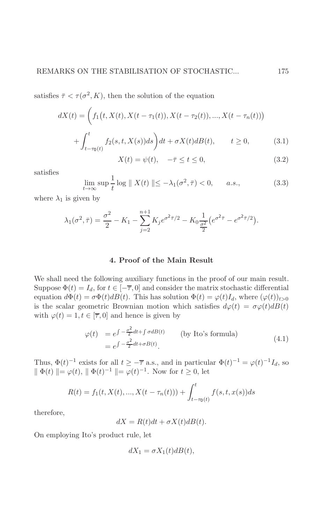satisfies  $\bar{\tau} < \tau(\sigma^2, K)$ , then the solution of the equation

$$
dX(t) = \left( f_1(t, X(t), X(t - \tau_1(t)), X(t - \tau_2(t)), ..., X(t - \tau_n(t)) \right) + \int_{t - \tau_0(t)}^t f_2(s, t, X(s)) ds \right) dt + \sigma X(t) dB(t), \qquad t \ge 0,
$$
 (3.1)

$$
X(t) = \psi(t), \quad -\bar{\tau} \le t \le 0,
$$
\n(3.2)

satisfies

$$
\lim_{t \to \infty} \sup \frac{1}{t} \log \| X(t) \| \le -\lambda_1(\sigma^2, \overline{\tau}) < 0, \qquad a.s., \tag{3.3}
$$

where  $\lambda_1$  is given by

$$
\lambda_1(\sigma^2, \bar{\tau}) = \frac{\sigma^2}{2} - K_1 - \sum_{j=2}^{n+1} K_j e^{\sigma^2 \bar{\tau}/2} - K_0 \frac{1}{\frac{\sigma^2}{2}} \left( e^{\sigma^2 \bar{\tau}} - e^{\sigma^2 \bar{\tau}/2} \right).
$$

#### 4. Proof of the Main Result

We shall need the following auxiliary functions in the proof of our main result. Suppose  $\Phi(t) = I_d$ , for  $t \in [-\overline{\tau}, 0]$  and consider the matrix stochastic differential equation  $d\Phi(t) = \sigma \Phi(t) dB(t)$ . This has solution  $\Phi(t) = \varphi(t)I_d$ , where  $(\varphi(t))_{t>0}$ is the scalar geometric Brownian motion which satisfies  $d\varphi(t) = \sigma\varphi(t)dB(t)$ with  $\varphi(t) = 1, t \in [\overline{\tau}, 0]$  and hence is given by

$$
\varphi(t) = e^{\int -\frac{\sigma^2}{2} dt + \int \sigma dB(t)} \qquad \text{(by Ito's formula)}
$$
\n
$$
= e^{\int -\frac{\sigma^2}{2} dt + \sigma B(t)}.
$$
\n(4.1)

Thus,  $\Phi(t)^{-1}$  exists for all  $t \geq -\overline{\tau}$  a.s., and in particular  $\Phi(t)^{-1} = \varphi(t)^{-1} I_d$ , so  $\|\Phi(t)\| = \varphi(t), \|\Phi(t)^{-1}\| = \varphi(t)^{-1}.$  Now for  $t \geq 0$ , let

$$
R(t) = f_1(t, X(t), ..., X(t - \tau_n(t))) + \int_{t - \tau_0(t)}^t f(s, t, x(s)) ds
$$

therefore,

$$
dX = R(t)dt + \sigma X(t)dB(t).
$$

On employing Ito's product rule, let

$$
dX_1 = \sigma X_1(t) dB(t),
$$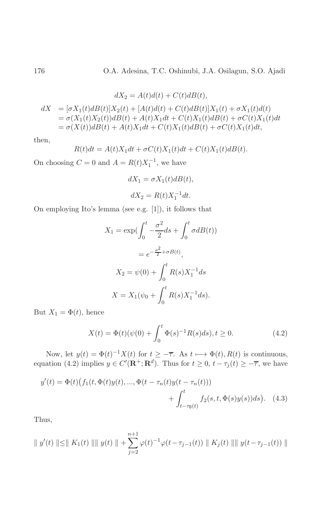$$
dX_2 = A(t)d(t) + C(t)dB(t),
$$
  
\n
$$
dX = [\sigma X_1(t)dB(t)]X_2(t) + [A(t)d(t) + C(t)dB(t)]X_1(t) + \sigma X_1(t)d(t)
$$
  
\n
$$
= \sigma(X_1(t)X_2(t))dB(t) + A(t)X_1dt + C(t)X_1(t)dB(t) + \sigma C(t)X_1(t)dt
$$
  
\n
$$
= \sigma(X(t))dB(t) + A(t)X_1dt + C(t)X_1(t)dB(t) + \sigma C(t)X_1(t)dt,
$$

then,

$$
R(t)dt = A(t)X_1dt + \sigma C(t)X_1(t)dt + C(t)X_1(t)dB(t).
$$

On choosing  $C = 0$  and  $A = R(t)X_1^{-1}$ , we have

$$
dX_1 = \sigma X_1(t)dB(t),
$$
  

$$
dX_2 = R(t)X_1^{-1}dt.
$$

On employing Ito's lemma (see e.g.  $[1]$ ), it follows that

$$
X_1 = \exp\left(\int_0^t -\frac{\sigma^2}{2} ds + \int_0^t \sigma dB(t)\right)
$$
  
=  $e^{-\frac{\sigma^2}{2} + \sigma B(t)}$ ,  

$$
X_2 = \psi(0) + \int_0^t R(s)X_1^{-1} ds
$$
  

$$
X = X_1(\psi_0 + \int_0^t R(s)X_1^{-1} ds).
$$

But  $X_1 = \Phi(t)$ , hence

$$
X(t) = \Phi(t)(\psi(0) + \int_0^t \Phi(s)^{-1} R(s) ds), t \ge 0.
$$
 (4.2)

Now, let  $y(t) = \Phi(t)^{-1}X(t)$  for  $t \ge -\overline{\tau}$ . As  $t \mapsto \Phi(t), R(t)$  is continuous, equation (4.2) implies  $y \in C'(\mathbf{R}^+; \mathbf{R}^d)$ . Thus for  $t \ge 0$ ,  $t - \tau_j(t) \ge -\overline{\tau}$ , we have

$$
y'(t) = \Phi(t) \big( f_1(t, \Phi(t)y(t), ..., \Phi(t - \tau_n(t)y(t - \tau_n(t))) + \int_{t-\tau_0(t)}^t f_2(s, t, \Phi(s)y(s))ds \big). \tag{4.3}
$$

Thus,

$$
\|y'(t)\| \le \|K_1(t)\| \|y(t)\| + \sum_{j=2}^{n+1} \varphi(t)^{-1} \varphi(t - \tau_{j-1}(t)) \|K_j(t)\| \|y(t - \tau_{j-1}(t))\|
$$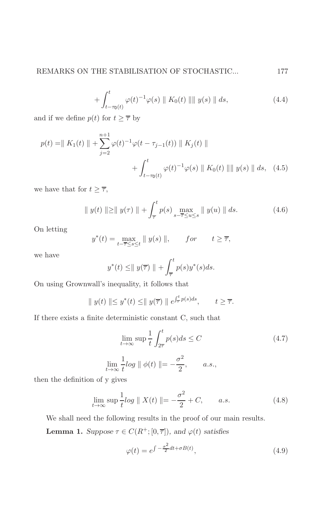$$
+\int_{t-\tau_0(t)}^t \varphi(t)^{-1}\varphi(s) \| K_0(t) \| \| y(s) \| ds,
$$
\n(4.4)

and if we define  $p(t)$  for  $t \geq \overline{\tau}$  by

$$
p(t) = || K_1(t) || + \sum_{j=2}^{n+1} \varphi(t)^{-1} \varphi(t - \tau_{j-1}(t)) || K_j(t) ||
$$
  
+ 
$$
\int_{t-\tau_0(t)}^t \varphi(t)^{-1} \varphi(s) || K_0(t) || || y(s) || ds, (4.5)
$$

we have that for  $t \geq \overline{\tau}$ ,

$$
\|y(t)\| \ge \|y(\tau)\| + \int_{\overline{\tau}}^{t} p(s) \max_{s-\overline{\tau} \le u \le s} \|y(u)\| ds.
$$
 (4.6)

On letting

$$
y^*(t) = \max_{t-\overline{\tau} \le s \le t} \| y(s) \|, \quad for \quad t \ge \overline{\tau},
$$

we have

$$
y^*(t) \leq ||y(\overline{\tau})|| + \int_{\overline{\tau}}^t p(s)y^*(s)ds.
$$

On using Grownwall's inequality, it follows that

$$
\|y(t)\| \le y^*(t) \le \|y(\overline{\tau})\| e^{\int_{\overline{\tau}}^t p(s)ds}, \qquad t \ge \overline{\tau}.
$$

If there exists a finite deterministic constant C, such that

$$
\lim_{t \to \infty} \sup \frac{1}{t} \int_{2\overline{\tau}}^{t} p(s) ds \le C
$$
\n
$$
\lim_{t \to \infty} \frac{1}{t} \log \|\phi(t)\| = -\frac{\sigma^2}{2}, \qquad a.s.,
$$
\n(4.7)

then the definition of y gives

$$
\lim_{t \to \infty} \sup \frac{1}{t} \log \| X(t) \| = -\frac{\sigma^2}{2} + C, \qquad a.s.
$$
 (4.8)

We shall need the following results in the proof of our main results.

**Lemma 1.** Suppose  $\tau \in C(R^+; [0, \overline{\tau}])$ , and  $\varphi(t)$  satisfies

$$
\varphi(t) = e^{\int -\frac{\sigma^2}{2}dt + \sigma B(t)},\tag{4.9}
$$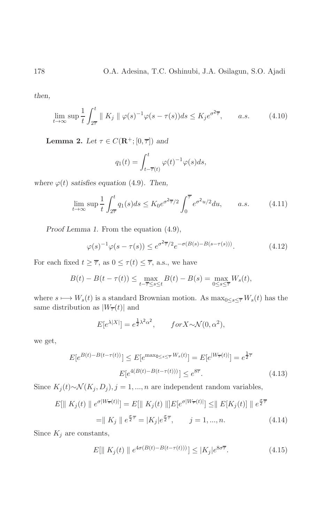then,

$$
\lim_{t \to \infty} \sup \frac{1}{t} \int_{2\overline{\tau}}^t \|K_j \| \varphi(s)^{-1} \varphi(s - \tau(s)) ds \le K_j e^{\sigma^2 \overline{\tau}}, \quad a.s. \quad (4.10)
$$

**Lemma 2.** Let  $\tau \in C(\mathbf{R}^+; [0, \overline{\tau}])$  and

$$
q_1(t) = \int_{t-\overline{\tau}(t)}^t \varphi(t)^{-1} \varphi(s) ds,
$$

where  $\varphi(t)$  satisfies equation (4.9). Then,

$$
\lim_{t \to \infty} \sup \frac{1}{t} \int_{2\overline{t}}^{t} q_1(s) ds \le K_0 e^{\sigma^2 \overline{\tau}/2} \int_0^{\overline{\tau}} e^{\sigma^2 u/2} du, \qquad a.s. \tag{4.11}
$$

Proof Lemma 1. From the equation  $(4.9)$ ,

$$
\varphi(s)^{-1}\varphi(s-\tau(s)) \le e^{\sigma^2 \overline{\tau}/2} e^{-\sigma(B(s)-B(s-\tau(s)))}.\tag{4.12}
$$

For each fixed  $t \geq \overline{\tau}$ , as  $0 \leq \tau(t) \leq \overline{\tau}$ , a.s., we have

 $B(t) - B(t - \tau(t)) \le \max_{t - \overline{\tau} \le s \le t} B(t) - B(s) = \max_{0 \le s \le \overline{\tau}} W_s(t),$ 

where  $s \mapsto W_s(t)$  is a standard Brownian motion. As  $\max_{0 \le s \le \overline{\tau}} W_s(t)$  has the same distribution as  $|W_{\overline{\tau}}(t)|$  and

$$
E[e^{\lambda |X|}] = e^{\frac{1}{2}\lambda^2 \alpha^2}, \qquad \text{for } X \sim \mathcal{N}(0, \alpha^2),
$$

we get,

$$
E[e^{B(t) - B(t - \tau(t))}] \le E[e^{\max_{0 \le s \le \overline{\tau}} W_s(t)}] = E[e^{|W_{\overline{\tau}}(t)|}] = e^{\frac{1}{2}\overline{\tau}}
$$

$$
E[e^{4(B(t) - B(t - \tau(t)))}] \le e^{8\overline{\tau}}.
$$
(4.13)

Since  $K_j(t) \sim \mathcal{N}(K_j, D_j), j = 1, ..., n$  are independent random variables,

$$
E[\| K_j(t) \| e^{\sigma |W_{\overline{\tau}}(t)|}] = E[\| K_j(t) \|] E[e^{\sigma |W_{\overline{\tau}}(t)|}] \leq \| E[K_j(t)] \| e^{\frac{\sigma}{2}\overline{\tau}}\n= \| K_j \| e^{\frac{\sigma}{2}\overline{\tau}} = |K_j| e^{\frac{\sigma}{2}\overline{\tau}}, \quad j = 1, ..., n.
$$
\n(4.14)

Since  $K_j$  are constants,

$$
E[\| K_j(t) \| e^{4\sigma(B(t) - B(t - \tau(t)))}] \le |K_j| e^{8\sigma \overline{\tau}}.
$$
\n(4.15)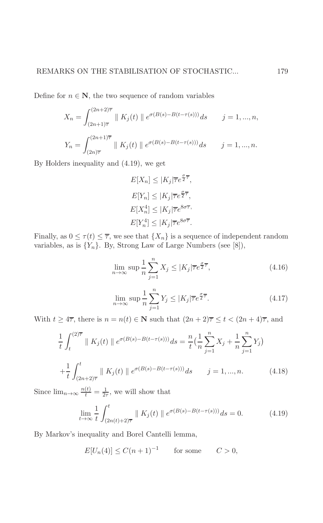Define for  $n \in \mathbb{N}$ , the two sequence of random variables

$$
X_n = \int_{(2n+1)\overline{\tau}}^{(2n+2)\overline{\tau}} \| K_j(t) \| e^{\sigma(B(s) - B(t - \tau(s)))} ds \qquad j = 1, ..., n,
$$
  

$$
Y_n = \int_{(2n)\overline{\tau}}^{(2n+1)\overline{\tau}} \| K_j(t) \| e^{\sigma(B(s) - B(t - \tau(s)))} ds \qquad j = 1, ..., n.
$$

By Holders inequality and  $(4.19)$ , we get

$$
E[X_n] \le |K_j|\overline{\tau}e^{\frac{\sigma}{2}\overline{\tau}},
$$
  
\n
$$
E[Y_n] \le |K_j|\overline{\tau}e^{\frac{\sigma}{2}\overline{\tau}},
$$
  
\n
$$
E[X_n^4] \le |K_j|\overline{\tau}e^{8\sigma\overline{\tau}},
$$
  
\n
$$
E[Y_n^4] \le |K_j|\overline{\tau}e^{8\sigma\overline{\tau}}.
$$

Finally, as  $0 \leq \tau(t) \leq \overline{\tau}$ , we see that  $\{X_n\}$  is a sequence of independent random variables, as is  $\{Y_n\}$ . By, Strong Law of Large Numbers (see [8]),

$$
\lim_{n \to \infty} \sup \frac{1}{n} \sum_{j=1}^{n} X_j \le |K_j| \overline{\tau} e^{\frac{\sigma}{2} \overline{\tau}}, \tag{4.16}
$$

$$
\lim_{n \to \infty} \sup \frac{1}{n} \sum_{j=1}^{n} Y_j \le |K_j| \overline{\tau} e^{\frac{\sigma}{2}\overline{\tau}}.
$$
\n(4.17)

With  $t \geq 4\overline{\tau}$ , there is  $n = n(t) \in \mathbb{N}$  such that  $(2n + 2)\overline{\tau} \leq t < (2n + 4)\overline{\tau}$ , and

$$
\frac{1}{t} \int_{t}^{(2)\overline{\tau}} \| K_j(t) \| e^{\sigma(B(s) - B(t - \tau(s)))} ds = \frac{n}{t} \left( \frac{1}{n} \sum_{j=1}^{n} X_j + \frac{1}{n} \sum_{j=1}^{n} Y_j \right)
$$

$$
+ \frac{1}{t} \int_{(2n+2)\overline{\tau}}^{t} \| K_j(t) \| e^{\sigma(B(s) - B(t - \tau(s)))} ds \qquad j = 1, ..., n. \tag{4.18}
$$

Since  $\lim_{n\to\infty}\frac{n(t)}{t}=\frac{1}{2\tau},$  we will show that

$$
\lim_{t \to \infty} \frac{1}{t} \int_{(2n(t)+2)\overline{\tau}}^t \| K_j(t) \| e^{\sigma(B(s) - B(t - \tau(s)))} ds = 0.
$$
 (4.19)

By Markov's inequality and Borel Cantelli lemma,

$$
E[U_n(4)] \le C(n+1)^{-1} \qquad \text{for some} \qquad C > 0,
$$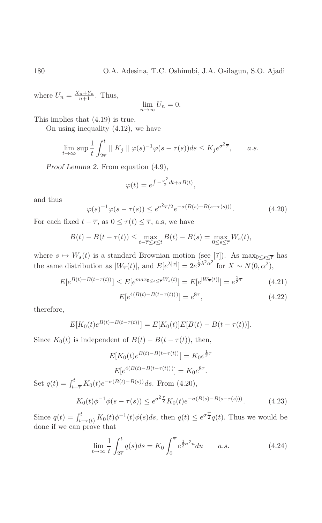where  $U_n = \frac{X_n + Y_n}{n+1}$ . Thus,

$$
\lim_{n \to \infty} U_n = 0.
$$

This implies that  $(4.19)$  is true.

On using inequality  $(4.12)$ , we have

$$
\lim_{t \to \infty} \sup \frac{1}{t} \int_{2\overline{\tau}}^t \| K_j \| \varphi(s)^{-1} \varphi(s - \tau(s)) ds \le K_j e^{\sigma^2 \overline{\tau}}, \quad a.s.
$$

Proof Lemma 2. From equation  $(4.9)$ ,

$$
\varphi(t) = e^{\int -\frac{\sigma^2}{2}dt + \sigma B(t)},
$$

and thus

$$
\varphi(s)^{-1}\varphi(s-\tau(s)) \le e^{\sigma^2 \overline{\tau}/2} e^{-\sigma(B(s)-B(s-\tau(s)))}.\tag{4.20}
$$

For each fixed  $t - \overline{\tau}$ , as  $0 \leq \tau(t) \leq \overline{\tau}$ , a.s., we have

$$
B(t) - B(t - \tau(t)) \le \max_{t - \overline{\tau} \le s \le t} B(t) - B(s) = \max_{0 \le s \le \overline{\tau}} W_s(t),
$$

where  $s \mapsto W_s(t)$  is a standard Brownian motion (see [7]). As  $\max_{0 \le s \le \overline{\tau}}$  has the same distribution as  $|W_{\overline{\tau}}(t)|$ , and  $E[e^{\lambda |x|}] = 2e^{\frac{1}{2}\lambda^2 \alpha^2}$  for  $X \sim N(0, \alpha^2)$ ,

$$
E[e^{B(t) - B(t - \tau(t))}] \le E[e^{max_{0 \le s \le \overline{\tau}} W_s(t)}] = E[e^{|W_{\overline{\tau}}(t)|}] = e^{\frac{1}{2}\overline{\tau}}
$$
(4.21)

$$
E[e^{4(B(t) - B(t - \tau(t)))}] = e^{8\overline{\tau}}, \qquad (4.22)
$$

therefore,

$$
E[K_0(t)e^{B(t)-B(t-\tau(t))}] = E[K_0(t)]E[B(t)-B(t-\tau(t))].
$$

Since  $K_0(t)$  is independent of  $B(t) - B(t - \tau(t))$ , then,

$$
E[K_0(t)e^{B(t)-B(t-\tau(t))}] = K_0 e^{\frac{1}{2}\overline{\tau}}
$$

$$
E[e^{4(B(t)-B(t-\tau(t)))}] = K_0 e^{8\overline{\tau}}.
$$

Set  $q(t) = \int_{t-\overline{\tau}}^{t} K_0(t) e^{-\sigma(B(t)-B(s))} ds$ . From (4.20),

$$
K_0(t)\phi^{-1}\phi(s-\tau(s)) \le e^{\sigma^2 \frac{\tau}{2}} K_0(t)e^{-\sigma(B(s)-B(s-\tau(s)))}.\tag{4.23}
$$

Since  $q(t) = \int_{t-\tau(t)}^t K_0(t)\phi^{-1}(t)\phi(s)ds$ , then  $q(t) \leq e^{\sigma \frac{\tau}{2}}q(t)$ . Thus we would be done if we can prove that

$$
\lim_{t \to \infty} \frac{1}{t} \int_{2\overline{\tau}}^{t} q(s) ds = K_0 \int_0^{\overline{\tau}} e^{\frac{1}{2}\sigma^2 u} du \qquad a.s. \tag{4.24}
$$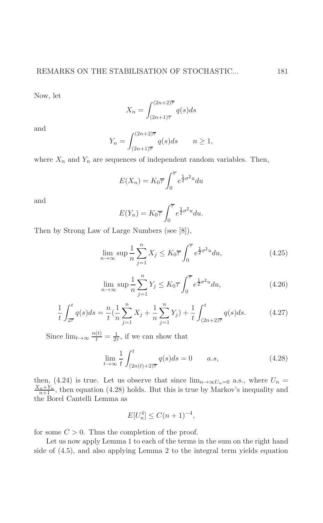Now, let

$$
X_n = \int_{(2n+1)\overline{\tau}}^{(2n+2)\overline{\tau}} q(s)ds
$$

and

$$
Y_n = \int_{(2n+1)\overline{\tau}}^{(2n+2)\overline{\tau}} q(s)ds \qquad n \ge 1,
$$

where  $X_n$  and  $Y_n$  are sequences of independent random variables. Then,

$$
E(X_n) = K_0 \overline{\tau} \int_0^{\overline{\tau}} e^{\frac{1}{2}\sigma^2 u} du
$$

and

$$
E(Y_n) = K_0 \overline{\tau} \int_0^{\overline{\tau}} e^{\frac{1}{2}\sigma^2 u} du.
$$

Then by Strong Law of Large Numbers (see [8]),

$$
\lim_{n \to \infty} \sup \frac{1}{n} \sum_{j=1}^{n} X_j \le K_0 \overline{\tau} \int_0^{\overline{\tau}} e^{\frac{1}{2}\sigma^2 u} du,
$$
\n(4.25)

$$
\lim_{n \to \infty} \sup \frac{1}{n} \sum_{j=1}^{n} Y_j \le K_0 \overline{\tau} \int_0^{\overline{\tau}} e^{\frac{1}{2}\sigma^2 u} du,
$$
\n(4.26)

$$
\frac{1}{t} \int_{2\overline{\tau}}^{t} q(s) ds = \frac{n}{t} \left( \frac{1}{n} \sum_{j=1}^{n} X_j + \frac{1}{n} \sum_{j=1}^{n} Y_j \right) + \frac{1}{t} \int_{(2n+2)\overline{\tau}}^{t} q(s) ds.
$$
 (4.27)

Since  $\lim_{t\to\infty}\frac{n(t)}{t}=\frac{1}{2\tau}$ , if we can show that

$$
\lim_{t \to \infty} \frac{1}{t} \int_{(2n(t)+2)\overline{\tau}}^t q(s)ds = 0 \qquad a.s,
$$
\n(4.28)

then, (4.24) is true. Let us observe that since  $\lim_{n\to\infty}U_n=0$  a.s., where  $U_n=$  $\frac{X_n + Y_n}{n+1}$ , then equation (4.28) holds. But this is true by Markov's inequality and the Borel Cantelli Lemma as

$$
E[U_n^4] \le C(n+1)^{-4},
$$

for some  $C > 0$ . Thus the completion of the proof.

Let us now apply Lemma 1 to each of the terms in the sum on the right hand side of (4.5), and also applying Lemma 2 to the integral term yields equation